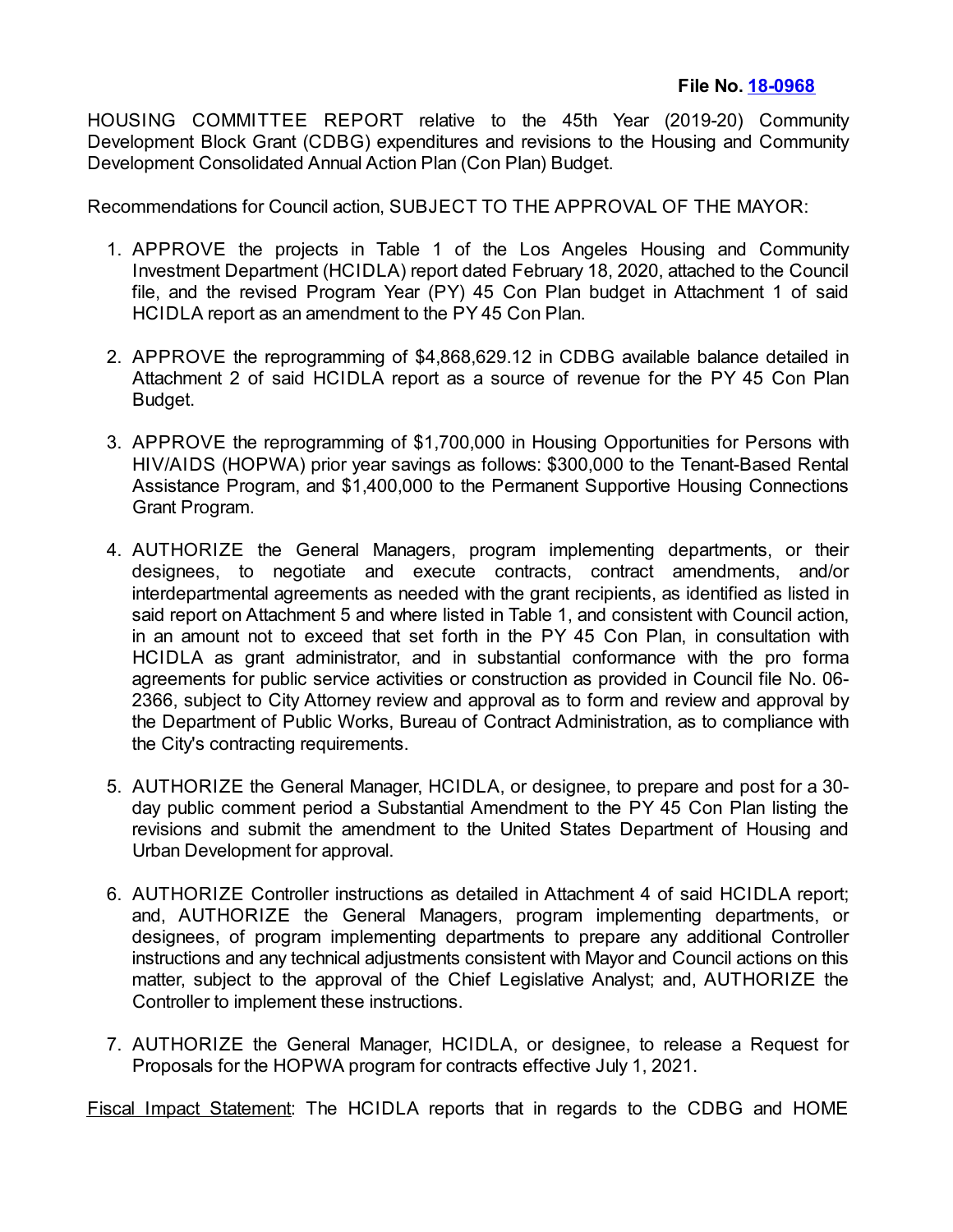HOUSING COMMITTEE REPORT relative to the 45th Year (2019-20) Community Development Block Grant (CDBG) expenditures and revisions to the Housing and Community Development Consolidated Annual Action Plan (Con Plan) Budget.

Recommendations for Council action, SUBJECT TO THE APPROVAL OF THE MAYOR:

- 1. APPROVE the projects in Table 1 of the Los Angeles Housing and Community Investment Department (HCIDLA) report dated February 18, 2020, attached to the Council file, and the revised Program Year (PY) 45 Con Plan budget in Attachment 1 of said HCIDLA report as an amendment to the PY 45 Con Plan.
- 2. APPROVE the reprogramming of \$4,868,629.12 in CDBG available balance detailed in Attachment 2 of said HCIDLA report as a source of revenue for the PY 45 Con Plan Budget.
- 3. APPROVE the reprogramming of \$1,700,000 in Housing Opportunities for Persons with HIV/AIDS (HOPWA) prior year savings as follows: \$300,000 to the Tenant-Based Rental Assistance Program, and \$1,400,000 to the Permanent Supportive Housing Connections Grant Program.
- 4. AUTHORIZE the General Managers, program implementing departments, or their designees, to negotiate and execute contracts, contract amendments, and/or interdepartmental agreements as needed with the grant recipients, as identified as listed in said report on Attachment 5 and where listed in Table 1, and consistent with Council action, in an amount not to exceed that set forth in the PY 45 Con Plan, in consultation with HCIDLA as grant administrator, and in substantial conformance with the pro forma agreements for public service activities or construction as provided in Council file No. 06- 2366, subject to City Attorney review and approval as to form and review and approval by the Department of Public Works, Bureau of Contract Administration, as to compliance with the City's contracting requirements.
- 5. AUTHORIZE the General Manager, HCIDLA, or designee, to prepare and post for a 30 day public comment period a Substantial Amendment to the PY 45 Con Plan listing the revisions and submit the amendment to the United States Department of Housing and Urban Development for approval.
- 6. AUTHORIZE Controller instructions as detailed in Attachment 4 of said HCIDLA report; and, AUTHORIZE the General Managers, program implementing departments, or designees, of program implementing departments to prepare any additional Controller instructions and any technical adjustments consistent with Mayor and Council actions on this matter, subject to the approval of the Chief Legislative Analyst; and, AUTHORIZE the Controller to implement these instructions.
- 7. AUTHORIZE the General Manager, HCIDLA, or designee, to release a Request for Proposals for the HOPWA program for contracts effective July 1, 2021.

Fiscal Impact Statement: The HCIDLA reports that in regards to the CDBG and HOME